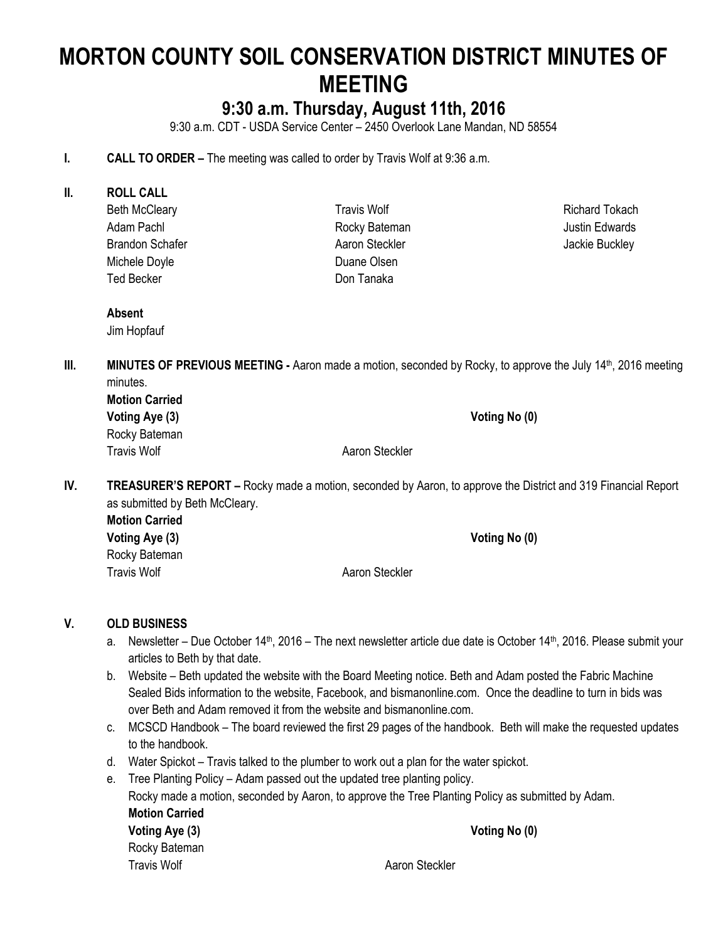# **MORTON COUNTY SOIL CONSERVATION DISTRICT MINUTES OF MEETING**

## **9:30 a.m. Thursday, August 11th, 2016**

9:30 a.m. CDT - USDA Service Center – 2450 Overlook Lane Mandan, ND 58554

#### **I. CALL TO ORDER –** The meeting was called to order by Travis Wolf at 9:36 a.m.

- **II. ROLL CALL**
	- Beth McCleary Adam Pachl Brandon Schafer Michele Doyle Ted Becker

Travis Wolf Rocky Bateman Aaron Steckler Duane Olsen Don Tanaka

Richard Tokach Justin Edwards Jackie Buckley

**Absent** Jim Hopfauf

**III. MINUTES OF PREVIOUS MEETING -** Aaron made a motion, seconded by Rocky, to approve the July 14<sup>th</sup>, 2016 meeting minutes. **Motion Carried**

| Motion Carried |                |               |
|----------------|----------------|---------------|
| Voting Aye (3) |                | Voting No (0) |
| Rocky Bateman  |                |               |
| Travis Wolf    | Aaron Steckler |               |

**IV. TREASURER'S REPORT –** Rocky made a motion, seconded by Aaron, to approve the District and 319 Financial Report as submitted by Beth McCleary.

| <b>Motion Carried</b> |                |               |
|-----------------------|----------------|---------------|
| Voting Aye (3)        |                | Voting No (0) |
| Rocky Bateman         |                |               |
| <b>Travis Wolf</b>    | Aaron Steckler |               |

#### **V. OLD BUSINESS**

- a. Newsletter Due October 14<sup>th</sup>, 2016 The next newsletter article due date is October 14<sup>th</sup>, 2016. Please submit your articles to Beth by that date.
- b. Website Beth updated the website with the Board Meeting notice. Beth and Adam posted the Fabric Machine Sealed Bids information to the website, Facebook, and bismanonline.com. Once the deadline to turn in bids was over Beth and Adam removed it from the website and bismanonline.com.
- c. MCSCD Handbook The board reviewed the first 29 pages of the handbook. Beth will make the requested updates to the handbook.
- d. Water Spickot Travis talked to the plumber to work out a plan for the water spickot.
- e. Tree Planting Policy Adam passed out the updated tree planting policy.

Rocky made a motion, seconded by Aaron, to approve the Tree Planting Policy as submitted by Adam. **Motion Carried Voting Aye (3) Voting No (0)** Rocky Bateman Travis Wolf **Aaron Steckler** Aaron Steckler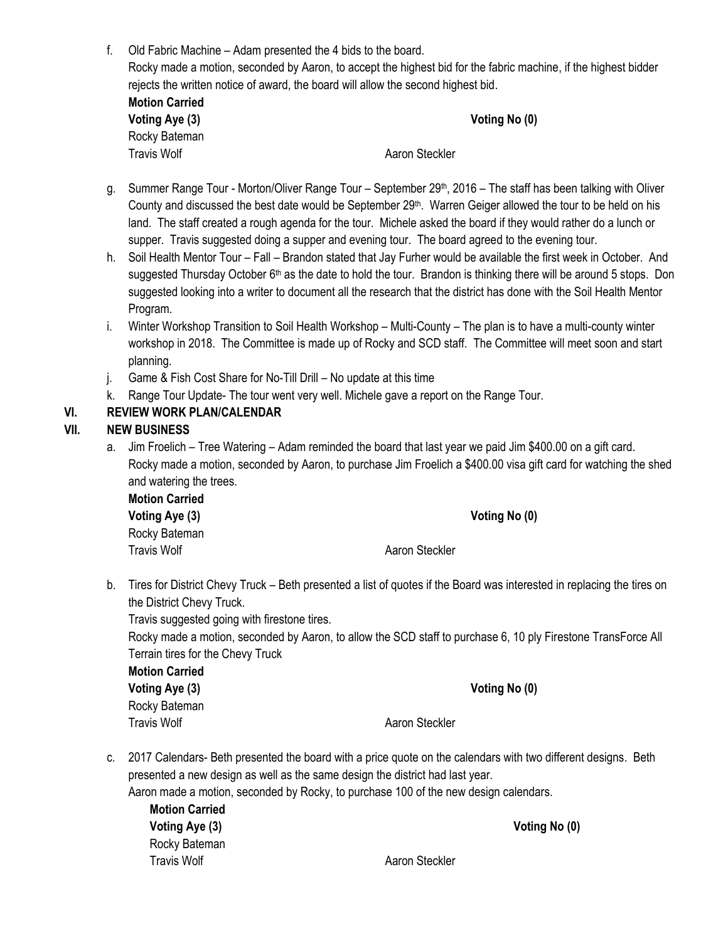f. Old Fabric Machine – Adam presented the 4 bids to the board. Rocky made a motion, seconded by Aaron, to accept the highest bid for the fabric machine, if the highest bidder rejects the written notice of award, the board will allow the second highest bid.

| <b>Motion Carried</b> |  |  |
|-----------------------|--|--|
| Voting Aye (3)        |  |  |
| Rocky Bateman         |  |  |
| Travis Wolf           |  |  |

**Voting No (0)** 

Travis Wolf **All Accord Accord Aaron Steckler** Annual Accord Aaron Steckler

- g. Summer Range Tour Morton/Oliver Range Tour September 29<sup>th</sup>, 2016 The staff has been talking with Oliver County and discussed the best date would be September 29th. Warren Geiger allowed the tour to be held on his land. The staff created a rough agenda for the tour. Michele asked the board if they would rather do a lunch or supper. Travis suggested doing a supper and evening tour. The board agreed to the evening tour.
- h. Soil Health Mentor Tour Fall Brandon stated that Jay Furher would be available the first week in October. And suggested Thursday October 6<sup>th</sup> as the date to hold the tour. Brandon is thinking there will be around 5 stops. Don suggested looking into a writer to document all the research that the district has done with the Soil Health Mentor Program.
- i. Winter Workshop Transition to Soil Health Workshop Multi-County The plan is to have a multi-county winter workshop in 2018. The Committee is made up of Rocky and SCD staff. The Committee will meet soon and start planning.
- j. Game & Fish Cost Share for No-Till Drill No update at this time
- k. Range Tour Update- The tour went very well. Michele gave a report on the Range Tour.

## **VI. REVIEW WORK PLAN/CALENDAR**

## **VII. NEW BUSINESS**

a. Jim Froelich – Tree Watering – Adam reminded the board that last year we paid Jim \$400.00 on a gift card. Rocky made a motion, seconded by Aaron, to purchase Jim Froelich a \$400.00 visa gift card for watching the shed and watering the trees.

**Motion Carried Voting Aye (3) Voting No (0)** Rocky Bateman

Travis Wolf **Allen Accepts** Aaron Steckler

b. Tires for District Chevy Truck – Beth presented a list of quotes if the Board was interested in replacing the tires on the District Chevy Truck.

Travis suggested going with firestone tires.

Rocky made a motion, seconded by Aaron, to allow the SCD staff to purchase 6, 10 ply Firestone TransForce All Terrain tires for the Chevy Truck

**Motion Carried Voting Aye (3) Voting No (0)** Rocky Bateman

Travis Wolf **Allen Acceptual** Aaron Steckler

c. 2017 Calendars- Beth presented the board with a price quote on the calendars with two different designs. Beth presented a new design as well as the same design the district had last year.

Aaron made a motion, seconded by Rocky, to purchase 100 of the new design calendars.

**Motion Carried Voting Aye (3) Voting No (0)** Rocky Bateman Travis Wolf **Aaron Steckler Aaron Steckler**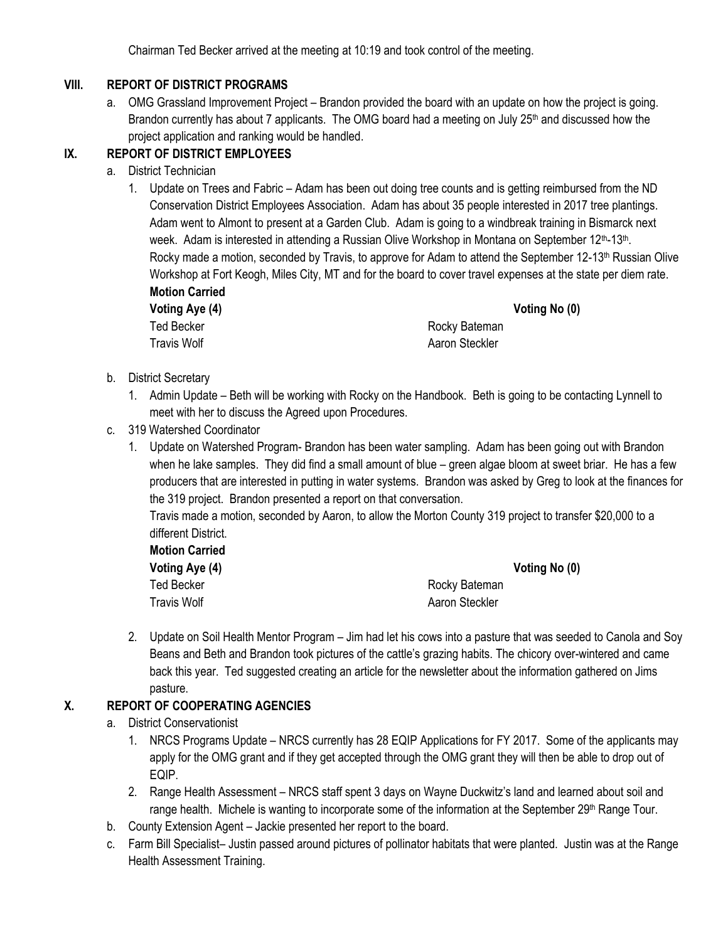Chairman Ted Becker arrived at the meeting at 10:19 and took control of the meeting.

### **VIII. REPORT OF DISTRICT PROGRAMS**

a. OMG Grassland Improvement Project – Brandon provided the board with an update on how the project is going. Brandon currently has about 7 applicants. The OMG board had a meeting on July 25<sup>th</sup> and discussed how the project application and ranking would be handled.

## **IX. REPORT OF DISTRICT EMPLOYEES**

- a. District Technician
	- 1. Update on Trees and Fabric Adam has been out doing tree counts and is getting reimbursed from the ND Conservation District Employees Association. Adam has about 35 people interested in 2017 tree plantings. Adam went to Almont to present at a Garden Club. Adam is going to a windbreak training in Bismarck next week. Adam is interested in attending a Russian Olive Workshop in Montana on September 12<sup>th</sup>-13<sup>th</sup>. Rocky made a motion, seconded by Travis, to approve for Adam to attend the September 12-13<sup>th</sup> Russian Olive Workshop at Fort Keogh, Miles City, MT and for the board to cover travel expenses at the state per diem rate. **Motion Carried**

| IIIVUVII VUITIV |
|-----------------|
| Voting Aye (4   |
| Ted Becker      |
|                 |

**Voting Aye (4) Voting No (0)**

Rocky Bateman Travis Wolf **Aaron Steckler** Aaron Steckler

- b. District Secretary
	- 1. Admin Update Beth will be working with Rocky on the Handbook. Beth is going to be contacting Lynnell to meet with her to discuss the Agreed upon Procedures.
- c. 319 Watershed Coordinator
	- 1. Update on Watershed Program- Brandon has been water sampling. Adam has been going out with Brandon when he lake samples. They did find a small amount of blue – green algae bloom at sweet briar. He has a few producers that are interested in putting in water systems. Brandon was asked by Greg to look at the finances for the 319 project. Brandon presented a report on that conversation.

Travis made a motion, seconded by Aaron, to allow the Morton County 319 project to transfer \$20,000 to a different District.

| <b>Motion Carried</b> |                |               |
|-----------------------|----------------|---------------|
| Voting Aye (4)        |                | Voting No (0) |
| Ted Becker            | Rocky Bateman  |               |
| <b>Travis Wolf</b>    | Aaron Steckler |               |

2. Update on Soil Health Mentor Program – Jim had let his cows into a pasture that was seeded to Canola and Soy Beans and Beth and Brandon took pictures of the cattle's grazing habits. The chicory over-wintered and came back this year. Ted suggested creating an article for the newsletter about the information gathered on Jims pasture.

## **X. REPORT OF COOPERATING AGENCIES**

- a. District Conservationist
	- 1. NRCS Programs Update NRCS currently has 28 EQIP Applications for FY 2017. Some of the applicants may apply for the OMG grant and if they get accepted through the OMG grant they will then be able to drop out of EQIP.
	- 2. Range Health Assessment NRCS staff spent 3 days on Wayne Duckwitz's land and learned about soil and range health. Michele is wanting to incorporate some of the information at the September 29<sup>th</sup> Range Tour.
- b. County Extension Agent Jackie presented her report to the board.
- c. Farm Bill Specialist– Justin passed around pictures of pollinator habitats that were planted. Justin was at the Range Health Assessment Training.